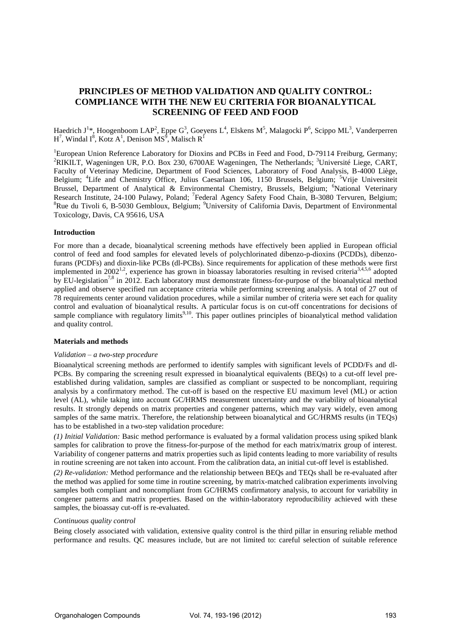# **PRINCIPLES OF METHOD VALIDATION AND QUALITY CONTROL: COMPLIANCE WITH THE NEW EU CRITERIA FOR BIOANALYTICAL SCREENING OF FEED AND FOOD**

Haedrich J<sup>1</sup>\*, Hoogenboom LAP<sup>2</sup>, Eppe G<sup>3</sup>, Goeyens L<sup>4</sup>, Elskens M<sup>5</sup>, Malagocki P<sup>6</sup>, Scippo ML<sup>3</sup>, Vanderperren  $H^7$ , Windal I<sup>8</sup>, Kotz A<sup>1</sup>, Denison MS<sup>9</sup>, Malisch R<sup>1</sup>

<sup>1</sup>European Union Reference Laboratory for Dioxins and PCBs in Feed and Food, D-79114 Freiburg, Germany; <sup>2</sup>RIKILT, Wageningen UR, P.O. Box 230, 6700AE Wageningen, The Netherlands; <sup>3</sup>Université Liege, CART, Faculty of Veterinay Medicine, Department of Food Sciences, Laboratory of Food Analysis, B-4000 Liège, Belgium; <sup>4</sup>Life and Chemistry Office, Julius Caesarlaan 106, 1150 Brussels, Belgium; <sup>5</sup>Vrije Universiteit Brussel, Department of Analytical & Environmental Chemistry, Brussels, Belgium; <sup>6</sup>National Veterinary Research Institute, 24-100 Pulawy, Poland; <sup>7</sup>Federal Agency Safety Food Chain, B-3080 Tervuren, Belgium;  ${}^{8}$ Rue du Tivoli 6, B-5030 Gembloux, Belgium; <sup>9</sup>University of California Davis, Department of Environmental Toxicology, Davis, CA 95616, USA

# **Introduction**

For more than a decade, bioanalytical screening methods have effectively been applied in European official control of feed and food samples for elevated levels of polychlorinated dibenzo-p-dioxins (PCDDs), dibenzofurans (PCDFs) and dioxin-like PCBs (dl-PCBs). Since requirements for application of these methods were first implemented in 2002<sup>1,2</sup>, experience has grown in bioassay laboratories resulting in revised criteria<sup>3,4,5,6</sup> adopted by EU-legislation<sup>7,8</sup> in 2012. Each laboratory must demonstrate fitness-for-purpose of the bioanalytical method applied and observe specified run acceptance criteria while performing screening analysis. A total of 27 out of 78 requirements center around validation procedures, while a similar number of criteria were set each for quality control and evaluation of bioanalytical results. A particular focus is on cut-off concentrations for decisions of sample compliance with regulatory limits<sup>9,10</sup>. This paper outlines principles of bioanalytical method validation and quality control.

## **Materials and methods**

#### *Validation – a two-step procedure*

Bioanalytical screening methods are performed to identify samples with significant levels of PCDD/Fs and dl-PCBs. By comparing the screening result expressed in bioanalytical equivalents (BEQs) to a cut-off level preestablished during validation, samples are classified as compliant or suspected to be noncompliant, requiring analysis by a confirmatory method. The cut-off is based on the respective EU maximum level (ML) or action level (AL), while taking into account GC/HRMS measurement uncertainty and the variability of bioanalytical results. It strongly depends on matrix properties and congener patterns, which may vary widely, even among samples of the same matrix. Therefore, the relationship between bioanalytical and GC/HRMS results (in TEQs) has to be established in a two-step validation procedure:

*(1) Initial Validation:* Basic method performance is evaluated by a formal validation process using spiked blank samples for calibration to prove the fitness-for-purpose of the method for each matrix/matrix group of interest. Variability of congener patterns and matrix properties such as lipid contents leading to more variability of results in routine screening are not taken into account. From the calibration data, an initial cut-off level is established.

*(2) Re-validation:* Method performance and the relationship between BEQs and TEQs shall be re-evaluated after the method was applied for some time in routine screening, by matrix-matched calibration experiments involving samples both compliant and noncompliant from GC/HRMS confirmatory analysis, to account for variability in congener patterns and matrix properties. Based on the within-laboratory reproducibility achieved with these samples, the bioassay cut-off is re-evaluated.

### *Continuous quality control*

Being closely associated with validation, extensive quality control is the third pillar in ensuring reliable method performance and results. QC measures include, but are not limited to: careful selection of suitable reference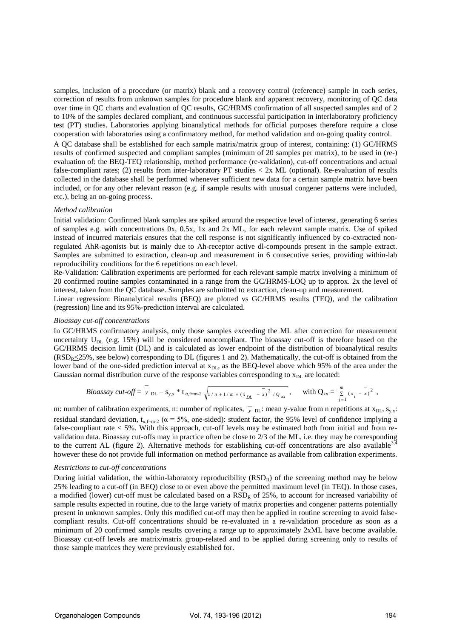samples, inclusion of a procedure (or matrix) blank and a recovery control (reference) sample in each series, correction of results from unknown samples for procedure blank and apparent recovery, monitoring of QC data over time in QC charts and evaluation of QC results, GC/HRMS confirmation of all suspected samples and of 2 to 10% of the samples declared compliant, and continuous successful participation in interlaboratory proficiency test (PT) studies. Laboratories applying bioanalytical methods for official purposes therefore require a close cooperation with laboratories using a confirmatory method, for method validation and on-going quality control.

A QC database shall be established for each sample matrix/matrix group of interest, containing: (1) GC/HRMS results of confirmed suspected and compliant samples (minimum of 20 samples per matrix), to be used in (re-) evaluation of: the BEQ-TEQ relationship, method performance (re-validation), cut-off concentrations and actual false-compliant rates; (2) results from inter-laboratory PT studies < 2x ML (optional). Re-evaluation of results collected in the database shall be performed whenever sufficient new data for a certain sample matrix have been included, or for any other relevant reason (e.g. if sample results with unusual congener patterns were included, etc.), being an on-going process.

#### *Method calibration*

Initial validation: Confirmed blank samples are spiked around the respective level of interest, generating 6 series of samples e.g. with concentrations 0x, 0.5x, 1x and 2x ML, for each relevant sample matrix. Use of spiked instead of incurred materials ensures that the cell response is not significantly influenced by co-extracted nonregulated AhR-agonists but is mainly due to Ah-receptor active dl-compounds present in the sample extract. Samples are submitted to extraction, clean-up and measurement in 6 consecutive series, providing within-lab reproducibility conditions for the 6 repetitions on each level.

Re-Validation: Calibration experiments are performed for each relevant sample matrix involving a minimum of 20 confirmed routine samples contaminated in a range from the GC/HRMS-LOQ up to approx. 2x the level of interest, taken from the QC database. Samples are submitted to extraction, clean-up and measurement.

Linear regression: Bioanalytical results (BEQ) are plotted vs GC/HRMS results (TEQ), and the calibration (regression) line and its 95%-prediction interval are calculated.

#### *Bioassay cut-off concentrations*

In GC/HRMS confirmatory analysis, only those samples exceeding the ML after correction for measurement uncertainty  $U_{DL}$  (e.g. 15%) will be considered noncompliant. The bioassay cut-off is therefore based on the GC/HRMS decision limit (DL) and is calculated as lower endpoint of the distribution of bioanalytical results  $(RSD_R \leq 25\%$ , see below) corresponding to DL (figures 1 and 2). Mathematically, the cut-off is obtained from the lower band of the one-sided prediction interval at  $x_{DL}$ , as the BEQ-level above which 95% of the area under the Gaussian normal distribution curve of the response variables corresponding to  $x<sub>DL</sub>$  are located:

*Bioassay cut-off* = 
$$
\overline{y}_{DL} - s_{y,x} * t_{\alpha, f=m-2} \sqrt{1 + (x_{DL} - x)^2 / \varrho_{xx}},
$$
 with  $Q_{xx} = \sum_{j=1}^{m} (x_j - x)^2$ ,

m: number of calibration experiments, n: number of replicates,  $\overline{y}_{\text{DL}}$ : mean y-value from n repetitions at  $x_{\text{DL}}$ ,  $s_{y,x}$ : residual standard deviation,  $t_{\alpha, f=m-2}$  ( $\alpha = 5\%$ , one-sided): student factor, the 95% level of confidence implying a false-compliant rate  $< 5\%$ . With this approach, cut-off levels may be estimated both from initial and from revalidation data. Bioassay cut-offs may in practice often be close to 2/3 of the ML, i.e. they may be corresponding to the current AL (figure 2). Alternative methods for establishing cut-off concentrations are also available  $3,4$ however these do not provide full information on method performance as available from calibration experiments.

## *Restrictions to cut-off concentrations*

During initial validation, the within-laboratory reproducibility  $(RSD<sub>R</sub>)$  of the screening method may be below 25% leading to a cut-off (in BEQ) close to or even above the permitted maximum level (in TEQ). In those cases, a modified (lower) cut-off must be calculated based on a  $RSD<sub>R</sub>$  of 25%, to account for increased variability of sample results expected in routine, due to the large variety of matrix properties and congener patterns potentially present in unknown samples. Only this modified cut-off may then be applied in routine screening to avoid falsecompliant results. Cut-off concentrations should be re-evaluated in a re-validation procedure as soon as a minimum of 20 confirmed sample results covering a range up to approximately 2xML have become available. Bioassay cut-off levels are matrix/matrix group-related and to be applied during screening only to results of those sample matrices they were previously established for.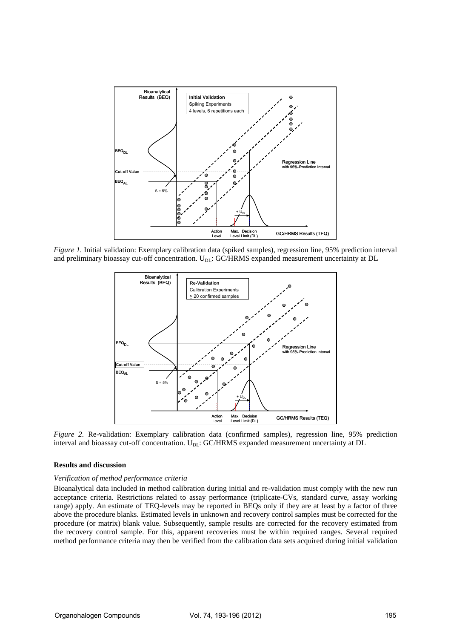

*Figure 1.* Initial validation: Exemplary calibration data (spiked samples), regression line, 95% prediction interval and preliminary bioassay cut-off concentration. U<sub>DL</sub>: GC/HRMS expanded measurement uncertainty at DL



*Figure 2.* Re-validation: Exemplary calibration data (confirmed samples), regression line, 95% prediction interval and bioassay cut-off concentration. U<sub>DL</sub>: GC/HRMS expanded measurement uncertainty at DL

# **Results and discussion**

### *Verification of method performance criteria*

Bioanalytical data included in method calibration during initial and re-validation must comply with the new run acceptance criteria. Restrictions related to assay performance (triplicate-CVs, standard curve, assay working range) apply. An estimate of TEQ-levels may be reported in BEQs only if they are at least by a factor of three above the procedure blanks. Estimated levels in unknown and recovery control samples must be corrected for the procedure (or matrix) blank value. Subsequently, sample results are corrected for the recovery estimated from the recovery control sample. For this, apparent recoveries must be within required ranges. Several required method performance criteria may then be verified from the calibration data sets acquired during initial validation